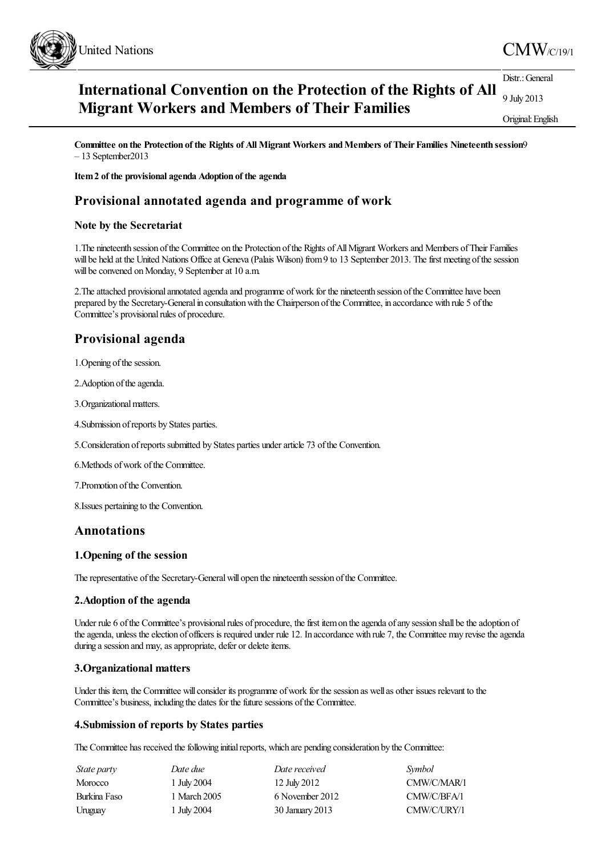

#### **International Convention on the Protection of the Rights of All Migrant Workers and Members of Their Families** Distr.: General 9 July 2013 Original:English

**Committee on the Protection of the Rights of All Migrant Workers andMembers of TheirFamilies Nineteenth session**9 – 13 September2013

**Item2 of the provisional agenda Adoption of the agenda**

# **Provisional annotated agenda and programme of work**

#### **Note by the Secretariat**

1.The nineteenth session ofthe Committee on the Protection ofthe Rights ofAllMigrant Workersand Members ofTheir Families will be held at the United Nations Office at Geneva (Palais Wilson) from 9 to 13 September 2013. The first meeting of the session will be convened on Monday, 9 September at 10 a.m.

2. The attached provisional annotated agenda and programme of work for the nineteenth session of the Committee have been prepared by the Secretary-General in consultation with the Chairperson of the Committee, in accordance with rule 5 of the Committee's provisional rules of procedure.

# **Provisional agenda**

1. Opening of the session.

2. Adoption of the agenda.

3. Organizational matters.

4.Submission ofreports by States parties.

5.Consideration ofreports submitted by States parties underarticle 73 ofthe Convention.

6. Methods of work of the Committee.

7.Promotion ofthe Convention.

8.Issues pertaining to the Convention.

# **Annotations**

#### **1.Opening of the session**

The representative of the Secretary-General will open the nineteenth session of the Committee.

#### **2.Adoption of the agenda**

Under rule 6 of the Committee's provisional rules of procedure, the first item on the agenda of any session shall be the adoption of the agenda, unless the election of officers is required under rule 12. In accordance with rule 7, the Committee may revise the agenda during a session and may, as appropriate, defer or delete items.

## **3.Organizational matters**

Under this item, the Committee will consider its programme of work for the session as well as other issues relevant to the Committee's business, including the dates for the future sessions of the Committee.

#### **4.Submission of reports by States parties**

The Committee has received the following initial reports, which are pending consideration by the Committee:

| State party    | Date due     | Date received   | Symbol      |
|----------------|--------------|-----------------|-------------|
| <b>Morocco</b> | 1 July 2004  | 12 July 2012    | CMW/C/MAR/1 |
| Burkina Faso   | 1 March 2005 | 6 November 2012 | CMW/C/BFA/1 |
| Uruguay        | 1 July 2004  | 30 January 2013 | CMW/C/URY/1 |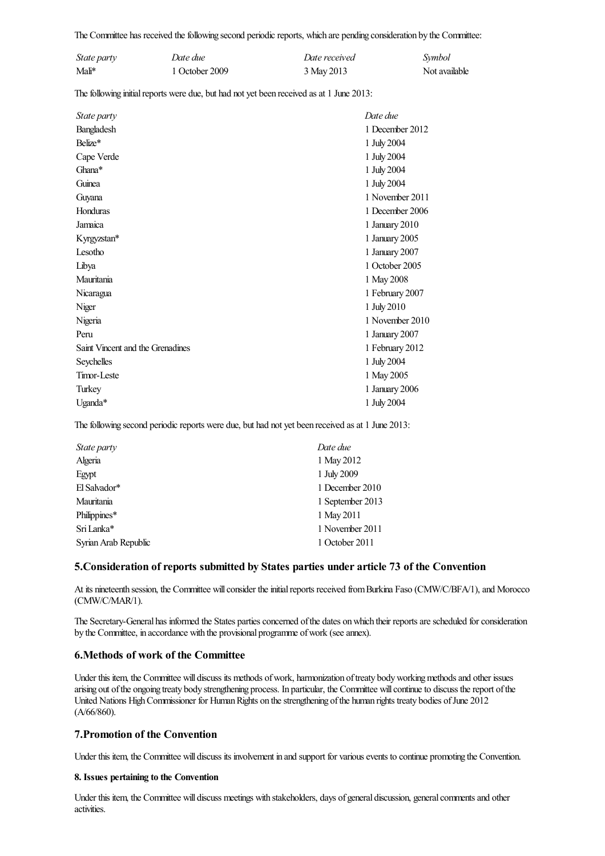The Committee has received the following second periodic reports, which are pending consideration by the Committee:

| State party | Date due       | Date received | Symbol        |
|-------------|----------------|---------------|---------------|
| Mali*       | 1 October 2009 | 3 May 2013    | Not available |

The following initial reports were due, but had not yet been received as at 1 June 2013:

| <i>State party</i>               | Date due        |
|----------------------------------|-----------------|
| Bangladesh                       | 1 December 2012 |
| Belize*                          | 1 July 2004     |
| Cape Verde                       | 1 July 2004     |
| Ghana*                           | 1 July 2004     |
| Guinea                           | 1 July 2004     |
| Guyana                           | 1 November 2011 |
| Honduras                         | 1 December 2006 |
| Jamaica                          | 1 January 2010  |
| Kyrgyzstan*                      | 1 January 2005  |
| Lesotho                          | 1 January 2007  |
| Libya                            | 1 October 2005  |
| Mauritania                       | 1 May 2008      |
| Nicaragua                        | 1 February 2007 |
| Niger                            | 1 July 2010     |
| Nigeria                          | 1 November 2010 |
| Peru                             | 1 January 2007  |
| Saint Vincent and the Grenadines | 1 February 2012 |
| Seychelles                       | 1 July 2004     |
| Timor-Leste                      | 1 May 2005      |
| Turkey                           | 1 January 2006  |
| Uganda*                          | 1 July 2004     |

The following second periodic reports were due, but had not yet been received as at 1 June 2013:

| State party          | Date due         |
|----------------------|------------------|
| Algeria              | 1 May 2012       |
| Egypt                | 1 July 2009      |
| El Salvador*         | 1 December 2010  |
| Mauritania           | 1 September 2013 |
| Philippines*         | 1 May 2011       |
| Sri Lanka*           | 1 November 2011  |
| Syrian Arab Republic | 1 October 2011   |

#### **5.Consideration of reports submitted by States parties under article 73 of the Convention**

At its nineteenth session, the Committee will consider the initial reports received from Burkina Faso (CMW/C/BFA/1), and Morocco (CMW/C/MAR/1).

The Secretary-General has informed the States parties concerned of the dates on which their reports are scheduled for consideration by the Committee, in accordance with the provisional programme of work (see annex).

#### **6.Methods of work of the Committee**

Under this item, the Committee will discuss its methods of work, harmonization of treaty body working methods and other issues arising out of the ongoing treaty body strengthening process. In particular, the Committee will continue to discuss the report of the United Nations High Commissioner for Human Rights on the strengthening of the human rights treaty bodies of June 2012 (A/66/860).

### **7.Promotion of the Convention**

Under this item, the Committee will discuss its involvement in and support for various events to continue promoting the Convention.

#### **8. Issues pertaining to the Convention**

Under this item, the Committee will discuss meetings with stakeholders, days of general discussion, general comments and other activities.